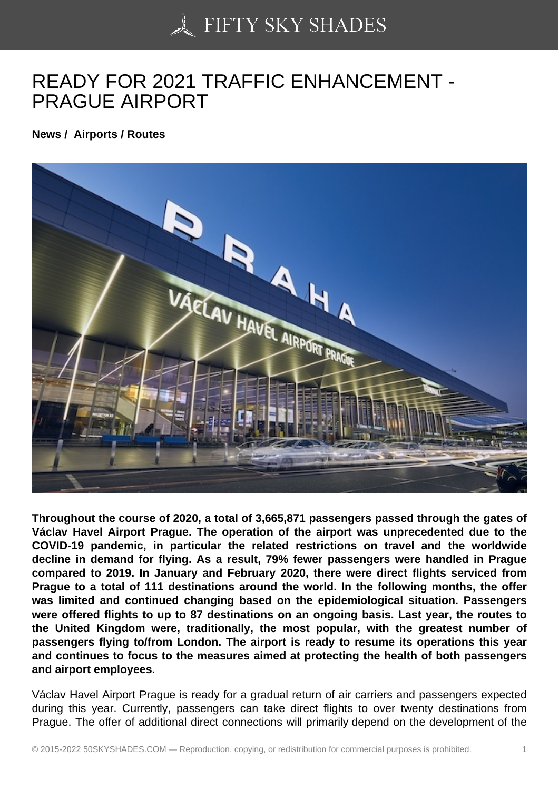## [READY FOR 2021 TRA](https://50skyshades.com)FFIC ENHANCEMENT - PRAGUE AIRPORT

News / Airports / Routes

Throughout the course of 2020, a total of 3,665,871 passengers passed through the gates of Václav Havel Airport Prague. The operation of the airport was unprecedented due to the COVID-19 pandemic, in particular the related restrictions on travel and the worldwide decline in demand for flying. As a result, 79% fewer passengers were handled in Prague compared to 2019. In January and February 2020, there were direct flights serviced from Prague to a total of 111 destinations around the world. In the following months, the offer was limited and continued changing based on the epidemiological situation. Passengers were offered flights to up to 87 destinations on an ongoing basis. Last year, the routes to the United Kingdom were, traditionally, the most popular, with the greatest number of passengers flying to/from London. The airport is ready to resume its operations this year and continues to focus to the measures aimed at protecting the health of both passengers and airport employees.

Václav Havel Airport Prague is ready for a gradual return of air carriers and passengers expected during this year. Currently, passengers can take direct flights to over twenty destinations from Prague. The offer of additional direct connections will primarily depend on the development of the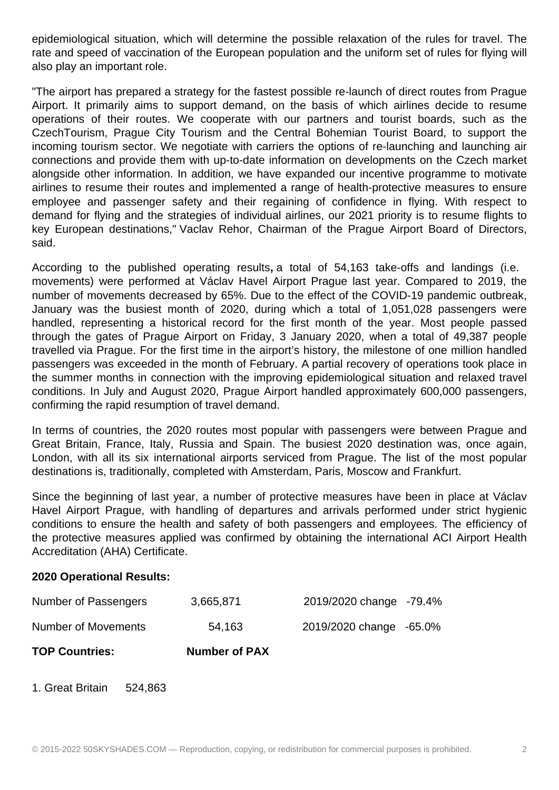epidemiological situation, which will determine the possible relaxation of the rules for travel. The rate and speed of vaccination of the European population and the uniform set of rules for flying will also play an important role.

"The airport has prepared a strategy for the fastest possible re-launch of direct routes from Prague Airport. It primarily aims to support demand, on the basis of which airlines decide to resume operations of their routes. We cooperate with our partners and tourist boards, such as the CzechTourism, Prague City Tourism and the Central Bohemian Tourist Board, to support the incoming tourism sector. We negotiate with carriers the options of re-launching and launching air connections and provide them with up-to-date information on developments on the Czech market alongside other information. In addition, we have expanded our incentive programme to motivate airlines to resume their routes and implemented a range of health-protective measures to ensure employee and passenger safety and their regaining of confidence in flying. With respect to demand for flying and the strategies of individual airlines, our 2021 priority is to resume flights to key European destinations," Vaclav Rehor, Chairman of the Prague Airport Board of Directors, said.

According to the published operating results**,** a total of 54,163 take-offs and landings (i.e. movements) were performed at Václav Havel Airport Prague last year. Compared to 2019, the number of movements decreased by 65%. Due to the effect of the COVID-19 pandemic outbreak, January was the busiest month of 2020, during which a total of 1,051,028 passengers were handled, representing a historical record for the first month of the year. Most people passed through the gates of Prague Airport on Friday, 3 January 2020, when a total of 49,387 people travelled via Prague. For the first time in the airport's history, the milestone of one million handled passengers was exceeded in the month of February. A partial recovery of operations took place in the summer months in connection with the improving epidemiological situation and relaxed travel conditions. In July and August 2020, Prague Airport handled approximately 600,000 passengers, confirming the rapid resumption of travel demand.

In terms of countries, the 2020 routes most popular with passengers were between Prague and Great Britain, France, Italy, Russia and Spain. The busiest 2020 destination was, once again, London, with all its six international airports serviced from Prague. The list of the most popular destinations is, traditionally, completed with Amsterdam, Paris, Moscow and Frankfurt.

Since the beginning of last year, a number of protective measures have been in place at Václav Havel Airport Prague, with handling of departures and arrivals performed under strict hygienic conditions to ensure the health and safety of both passengers and employees. The efficiency of the protective measures applied was confirmed by obtaining the international ACI Airport Health Accreditation (AHA) Certificate.

## **2020 Operational Results:**

| <b>TOP Countries:</b> | <b>Number of PAX</b> |                         |  |
|-----------------------|----------------------|-------------------------|--|
| Number of Movements   | 54,163               | 2019/2020 change -65.0% |  |
| Number of Passengers  | 3,665,871            | 2019/2020 change -79.4% |  |

1. Great Britain 524,863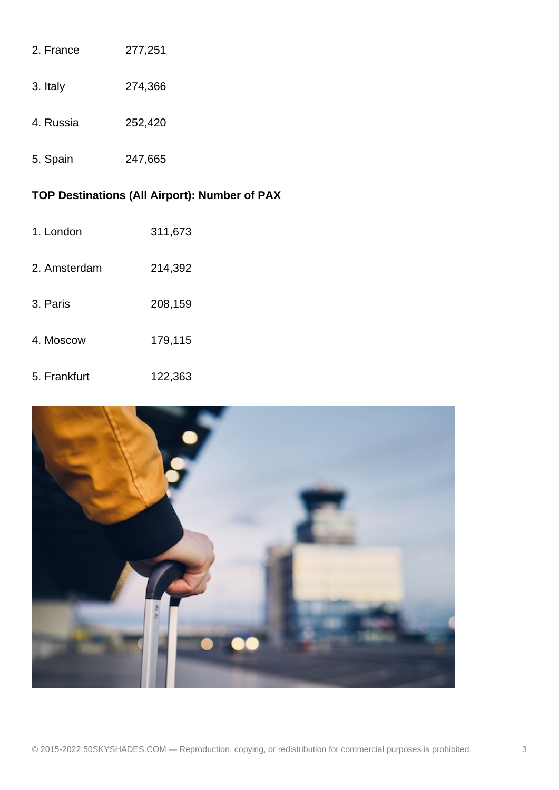| 2. France | 277,251 |
|-----------|---------|
| 3. Italy  | 274,366 |
| 4. Russia | 252,420 |
|           |         |

5. Spain 247,665

## **TOP Destinations (All Airport): Number of PAX**

- 1. London 311,673
- 2. Amsterdam 214,392
- 3. Paris 208,159
- 4. Moscow 179,115
- 5. Frankfurt 122,363